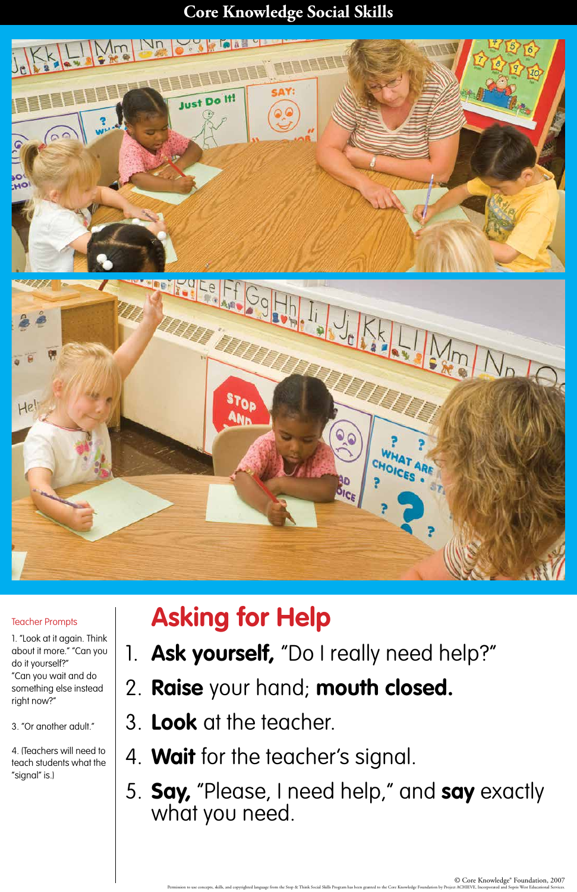### **Core Knowledge Social Skills**



# **Asking for Help**

Ask yourself, "Do I really need help?"

# 2. **Raise** your hand; **mouth closed.**

## 3. **Look** at the teacher.

- 4. **Wait** for the teacher's signal.
- 5. **Say,** "Please, I need help," and **say** exactly what you need.

### Teacher Prompts

1. "Look at it again. Think about it more." "Can you

do it yourself?"

"Can you wait and do something else instead right now?"

3. "Or another adult."

4. (Teachers will need to teach students what the "signal" is.)